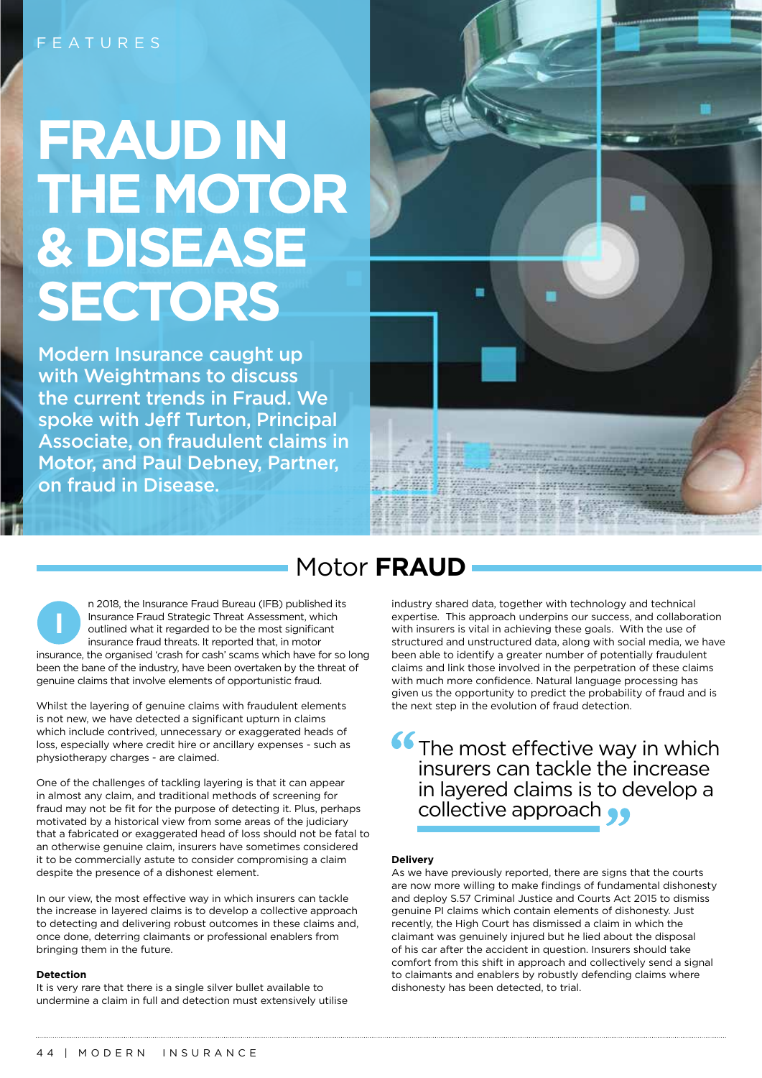# **FRAUD IN THE MOTOR & DISEASE SECTORS**

Modern Insurance caught up with Weightmans to discuss the current trends in Fraud. We spoke with Jeff Turton, Principal Associate, on fraudulent claims in Motor, and Paul Debney, Partner, on fraud in Disease.



## Motor **FRAUD**

n 2018, the Insurance Fraud Bureau (IFB) published its Insurance Fraud Strategic Threat Assessment, which outlined what it regarded to be the most significant insurance fraud threats. It reported that, in motor insurance, the organised 'crash for cash' scams which have for so long been the bane of the industry, have been overtaken by the threat of genuine claims that involve elements of opportunistic fraud. **I**

Whilst the layering of genuine claims with fraudulent elements is not new, we have detected a significant upturn in claims which include contrived, unnecessary or exaggerated heads of loss, especially where credit hire or ancillary expenses - such as physiotherapy charges - are claimed.

One of the challenges of tackling layering is that it can appear in almost any claim, and traditional methods of screening for fraud may not be fit for the purpose of detecting it. Plus, perhaps motivated by a historical view from some areas of the judiciary that a fabricated or exaggerated head of loss should not be fatal to an otherwise genuine claim, insurers have sometimes considered it to be commercially astute to consider compromising a claim despite the presence of a dishonest element.

In our view, the most effective way in which insurers can tackle the increase in layered claims is to develop a collective approach to detecting and delivering robust outcomes in these claims and, once done, deterring claimants or professional enablers from bringing them in the future.

#### **Detection**

It is very rare that there is a single silver bullet available to undermine a claim in full and detection must extensively utilise industry shared data, together with technology and technical expertise. This approach underpins our success, and collaboration with insurers is vital in achieving these goals. With the use of structured and unstructured data, along with social media, we have been able to identify a greater number of potentially fraudulent claims and link those involved in the perpetration of these claims with much more confidence. Natural language processing has given us the opportunity to predict the probability of fraud and is the next step in the evolution of fraud detection.

**66** The most effective way in which insurers can tackle the increase in layered claims is to develop a collective approach  $\bullet\bullet$ 

#### **Delivery**

As we have previously reported, there are signs that the courts are now more willing to make findings of fundamental dishonesty and deploy S.57 Criminal Justice and Courts Act 2015 to dismiss genuine PI claims which contain elements of dishonesty. Just recently, the High Court has dismissed a claim in which the claimant was genuinely injured but he lied about the disposal of his car after the accident in question. Insurers should take comfort from this shift in approach and collectively send a signal to claimants and enablers by robustly defending claims where dishonesty has been detected, to trial.